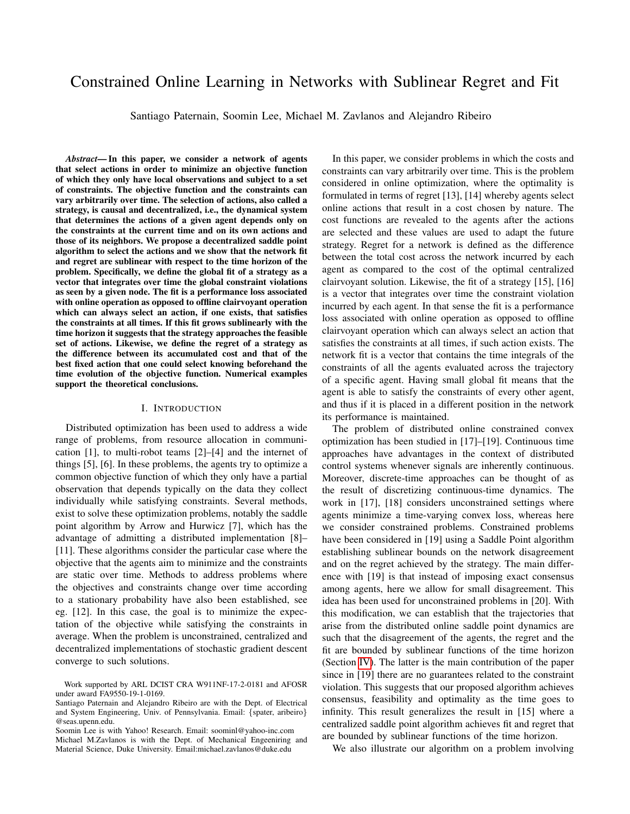# Constrained Online Learning in Networks with Sublinear Regret and Fit

Santiago Paternain, Soomin Lee, Michael M. Zavlanos and Alejandro Ribeiro

*Abstract*— In this paper, we consider a network of agents that select actions in order to minimize an objective function of which they only have local observations and subject to a set of constraints. The objective function and the constraints can vary arbitrarily over time. The selection of actions, also called a strategy, is causal and decentralized, i.e., the dynamical system that determines the actions of a given agent depends only on the constraints at the current time and on its own actions and those of its neighbors. We propose a decentralized saddle point algorithm to select the actions and we show that the network fit and regret are sublinear with respect to the time horizon of the problem. Specifically, we define the global fit of a strategy as a vector that integrates over time the global constraint violations as seen by a given node. The fit is a performance loss associated with online operation as opposed to offline clairvoyant operation which can always select an action, if one exists, that satisfies the constraints at all times. If this fit grows sublinearly with the time horizon it suggests that the strategy approaches the feasible set of actions. Likewise, we define the regret of a strategy as the difference between its accumulated cost and that of the best fixed action that one could select knowing beforehand the time evolution of the objective function. Numerical examples support the theoretical conclusions.

### I. INTRODUCTION

Distributed optimization has been used to address a wide range of problems, from resource allocation in communication [1], to multi-robot teams [2]–[4] and the internet of things [5], [6]. In these problems, the agents try to optimize a common objective function of which they only have a partial observation that depends typically on the data they collect individually while satisfying constraints. Several methods, exist to solve these optimization problems, notably the saddle point algorithm by Arrow and Hurwicz [7], which has the advantage of admitting a distributed implementation [8]– [11]. These algorithms consider the particular case where the objective that the agents aim to minimize and the constraints are static over time. Methods to address problems where the objectives and constraints change over time according to a stationary probability have also been established, see eg. [12]. In this case, the goal is to minimize the expectation of the objective while satisfying the constraints in average. When the problem is unconstrained, centralized and decentralized implementations of stochastic gradient descent converge to such solutions.

In this paper, we consider problems in which the costs and constraints can vary arbitrarily over time. This is the problem considered in online optimization, where the optimality is formulated in terms of regret [13], [14] whereby agents select online actions that result in a cost chosen by nature. The cost functions are revealed to the agents after the actions are selected and these values are used to adapt the future strategy. Regret for a network is defined as the difference between the total cost across the network incurred by each agent as compared to the cost of the optimal centralized clairvoyant solution. Likewise, the fit of a strategy [15], [16] is a vector that integrates over time the constraint violation incurred by each agent. In that sense the fit is a performance loss associated with online operation as opposed to offline clairvoyant operation which can always select an action that satisfies the constraints at all times, if such action exists. The network fit is a vector that contains the time integrals of the constraints of all the agents evaluated across the trajectory of a specific agent. Having small global fit means that the agent is able to satisfy the constraints of every other agent, and thus if it is placed in a different position in the network its performance is maintained.

The problem of distributed online constrained convex optimization has been studied in [17]–[19]. Continuous time approaches have advantages in the context of distributed control systems whenever signals are inherently continuous. Moreover, discrete-time approaches can be thought of as the result of discretizing continuous-time dynamics. The work in [17], [18] considers unconstrained settings where agents minimize a time-varying convex loss, whereas here we consider constrained problems. Constrained problems have been considered in [19] using a Saddle Point algorithm establishing sublinear bounds on the network disagreement and on the regret achieved by the strategy. The main difference with [19] is that instead of imposing exact consensus among agents, here we allow for small disagreement. This idea has been used for unconstrained problems in [20]. With this modification, we can establish that the trajectories that arise from the distributed online saddle point dynamics are such that the disagreement of the agents, the regret and the fit are bounded by sublinear functions of the time horizon (Section [IV\)](#page-4-0). The latter is the main contribution of the paper since in [19] there are no guarantees related to the constraint violation. This suggests that our proposed algorithm achieves consensus, feasibility and optimality as the time goes to infinity. This result generalizes the result in [15] where a centralized saddle point algorithm achieves fit and regret that are bounded by sublinear functions of the time horizon.

We also illustrate our algorithm on a problem involving

Work supported by ARL DCIST CRA W911NF-17-2-0181 and AFOSR under award FA9550-19-1-0169.

Santiago Paternain and Alejandro Ribeiro are with the Dept. of Electrical and System Engineering, Univ. of Pennsylvania. Email: {spater, aribeiro} @seas.upenn.edu.

Soomin Lee is with Yahoo! Research. Email: soominl@yahoo-inc.com Michael M.Zavlanos is with the Dept. of Mechanical Engeeniring and Material Science, Duke University. Email:michael.zavlanos@duke.edu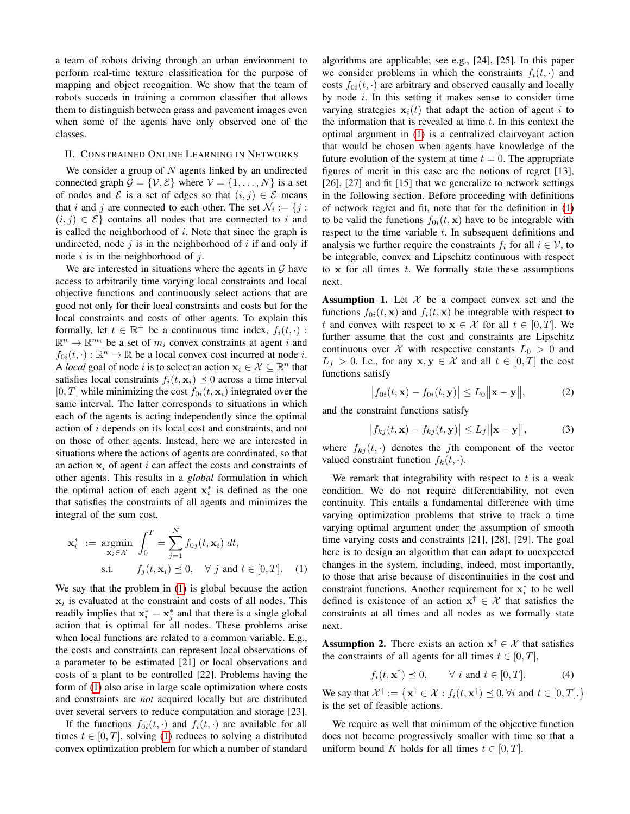a team of robots driving through an urban environment to perform real-time texture classification for the purpose of mapping and object recognition. We show that the team of robots succeds in training a common classifier that allows them to distinguish between grass and pavement images even when some of the agents have only observed one of the classes.

### <span id="page-1-2"></span>II. CONSTRAINED ONLINE LEARNING IN NETWORKS

We consider a group of  $N$  agents linked by an undirected connected graph  $\mathcal{G} = \{V, \mathcal{E}\}\$  where  $V = \{1, \dots, N\}\$ is a set of nodes and  $\mathcal E$  is a set of edges so that  $(i, j) \in \mathcal E$  means that i and j are connected to each other. The set  $\mathcal{N}_i := \{j :$  $(i, j) \in \mathcal{E}$  contains all nodes that are connected to i and is called the neighborhood of  $i$ . Note that since the graph is undirected, node  $j$  is in the neighborhood of  $i$  if and only if node i is in the neighborhood of  $i$ .

We are interested in situations where the agents in  $G$  have access to arbitrarily time varying local constraints and local objective functions and continuously select actions that are good not only for their local constraints and costs but for the local constraints and costs of other agents. To explain this formally, let  $t \in \mathbb{R}^+$  be a continuous time index,  $f_i(t, \cdot)$ :  $\mathbb{R}^n \to \mathbb{R}^{m_i}$  be a set of  $m_i$  convex constraints at agent i and  $f_{0i}(t, \cdot) : \mathbb{R}^n \to \mathbb{R}$  be a local convex cost incurred at node *i*. A *local* goal of node *i* is to select an action  $\mathbf{x}_i \in \mathcal{X} \subseteq \mathbb{R}^n$  that satisfies local constraints  $f_i(t, \mathbf{x}_i) \preceq 0$  across a time interval  $[0, T]$  while minimizing the cost  $f_{0i}(t, x_i)$  integrated over the same interval. The latter corresponds to situations in which each of the agents is acting independently since the optimal action of i depends on its local cost and constraints, and not on those of other agents. Instead, here we are interested in situations where the actions of agents are coordinated, so that an action  $x_i$  of agent i can affect the costs and constraints of other agents. This results in a *global* formulation in which the optimal action of each agent  $x_i^*$  is defined as the one that satisfies the constraints of all agents and minimizes the integral of the sum cost,

$$
\mathbf{x}_{i}^{*} := \underset{\mathbf{x}_{i} \in \mathcal{X}}{\operatorname{argmin}} \int_{0}^{T} = \sum_{j=1}^{N} f_{0j}(t, \mathbf{x}_{i}) dt,
$$
  
s.t.  $f_{j}(t, \mathbf{x}_{i}) \preceq 0, \quad \forall j \text{ and } t \in [0, T].$  (1)

We say that the problem in [\(1\)](#page-1-0) is global because the action  $x_i$  is evaluated at the constraint and costs of all nodes. This readily implies that  $x_i^* = x_j^*$  and that there is a single global action that is optimal for all nodes. These problems arise when local functions are related to a common variable. E.g., the costs and constraints can represent local observations of a parameter to be estimated [21] or local observations and costs of a plant to be controlled [22]. Problems having the form of [\(1\)](#page-1-0) also arise in large scale optimization where costs and constraints are *not* acquired locally but are distributed over several servers to reduce computation and storage [23].

If the functions  $f_{0i}(t, \cdot)$  and  $f_i(t, \cdot)$  are available for all times  $t \in [0, T]$ , solving [\(1\)](#page-1-0) reduces to solving a distributed convex optimization problem for which a number of standard algorithms are applicable; see e.g., [24], [25]. In this paper we consider problems in which the constraints  $f_i(t, \cdot)$  and costs  $f_{0i}(t, \cdot)$  are arbitrary and observed causally and locally by node i. In this setting it makes sense to consider time varying strategies  $x_i(t)$  that adapt the action of agent i to the information that is revealed at time  $t$ . In this context the optimal argument in [\(1\)](#page-1-0) is a centralized clairvoyant action that would be chosen when agents have knowledge of the future evolution of the system at time  $t = 0$ . The appropriate figures of merit in this case are the notions of regret [13], [26], [27] and fit [15] that we generalize to network settings in the following section. Before proceeding with definitions of network regret and fit, note that for the definition in [\(1\)](#page-1-0) to be valid the functions  $f_{0i}(t, \mathbf{x})$  have to be integrable with respect to the time variable  $t$ . In subsequent definitions and analysis we further require the constraints  $f_i$  for all  $i \in V$ , to be integrable, convex and Lipschitz continuous with respect to  $x$  for all times  $t$ . We formally state these assumptions next.

<span id="page-1-1"></span>**Assumption 1.** Let  $X$  be a compact convex set and the functions  $f_{0i}(t, \mathbf{x})$  and  $f_i(t, \mathbf{x})$  be integrable with respect to t and convex with respect to  $x \in \mathcal{X}$  for all  $t \in [0, T]$ . We further assume that the cost and constraints are Lipschitz continuous over X with respective constants  $L_0 > 0$  and  $L_f > 0$ . I.e., for any  $\mathbf{x}, \mathbf{y} \in \mathcal{X}$  and all  $t \in [0, T]$  the cost functions satisfy

$$
\left|f_{0i}(t,\mathbf{x})-f_{0i}(t,\mathbf{y})\right|\leq L_0\|\mathbf{x}-\mathbf{y}\|,\tag{2}
$$

and the constraint functions satisfy

$$
\left|f_{kj}(t, \mathbf{x}) - f_{kj}(t, \mathbf{y})\right| \le L_f \|\mathbf{x} - \mathbf{y}\|,
$$
 (3)

where  $f_{kj}(t, \cdot)$  denotes the jth component of the vector valued constraint function  $f_k(t, \cdot)$ .

<span id="page-1-0"></span>We remark that integrability with respect to  $t$  is a weak condition. We do not require differentiability, not even continuity. This entails a fundamental difference with time varying optimization problems that strive to track a time varying optimal argument under the assumption of smooth time varying costs and constraints [21], [28], [29]. The goal here is to design an algorithm that can adapt to unexpected changes in the system, including, indeed, most importantly, to those that arise because of discontinuities in the cost and constraint functions. Another requirement for  $x_i^*$  to be well defined is existence of an action  $x^{\dagger} \in \mathcal{X}$  that satisfies the constraints at all times and all nodes as we formally state next.

**Assumption 2.** There exists an action  $x^{\dagger} \in \mathcal{X}$  that satisfies the constraints of all agents for all times  $t \in [0, T]$ ,

$$
f_i(t, \mathbf{x}^\dagger) \preceq 0, \qquad \forall \ i \text{ and } t \in [0, T]. \tag{4}
$$

We say that  $\mathcal{X}^{\dagger} := \{ \mathbf{x}^{\dagger} \in \mathcal{X} : f_i(t, \mathbf{x}^{\dagger}) \preceq 0, \forall i \text{ and } t \in [0, T] \}$ is the set of feasible actions.

We require as well that minimum of the objective function does not become progressively smaller with time so that a uniform bound K holds for all times  $t \in [0, T]$ .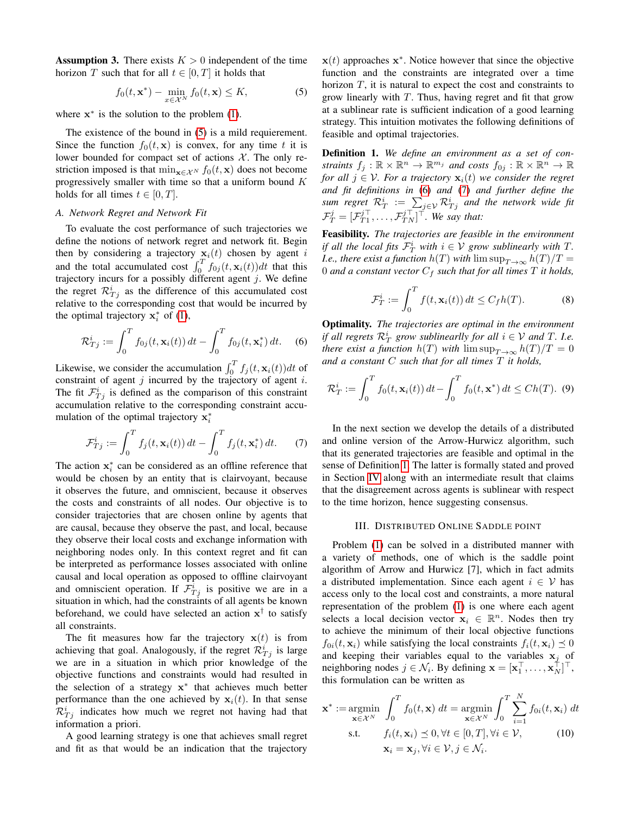**Assumption 3.** There exists  $K > 0$  independent of the time horizon T such that for all  $t \in [0, T]$  it holds that

<span id="page-2-0"></span>
$$
f_0(t, \mathbf{x}^*) - \min_{x \in \mathcal{X}^N} f_0(t, \mathbf{x}) \le K,\tag{5}
$$

where  $x^*$  is the solution to the problem [\(1\)](#page-1-0).

The existence of the bound in  $(5)$  is a mild requierement. Since the function  $f_0(t, x)$  is convex, for any time t it is lower bounded for compact set of actions  $X$ . The only restriction imposed is that min<sub>x∈X</sub><sub>N</sub> f<sub>0</sub>(t, x) does not become progressively smaller with time so that a uniform bound K holds for all times  $t \in [0, T]$ .

# *A. Network Regret and Network Fit*

To evaluate the cost performance of such trajectories we define the notions of network regret and network fit. Begin then by considering a trajectory  $x_i(t)$  chosen by agent i and the total accumulated cost  $\int_0^T f_{0j}(t, \mathbf{x}_i(t))dt$  that this trajectory incurs for a possibly different agent  $j$ . We define the regret  $\mathcal{R}_{Tj}^{i}$  as the difference of this accumulated cost relative to the corresponding cost that would be incurred by the optimal trajectory  $x_i^*$  of [\(1\)](#page-1-0),

<span id="page-2-1"></span>
$$
\mathcal{R}_{Tj}^i := \int_0^T f_{0j}(t, \mathbf{x}_i(t)) dt - \int_0^T f_{0j}(t, \mathbf{x}_i^*) dt.
$$
 (6)

Likewise, we consider the accumulation  $\int_0^T f_j(t, \mathbf{x}_i(t))dt$  of constraint of agent  $j$  incurred by the trajectory of agent  $i$ . The fit  $\mathcal{F}_{Tj}^i$  is defined as the comparison of this constraint accumulation relative to the corresponding constraint accumulation of the optimal trajectory  $x_i^*$ 

<span id="page-2-2"></span>
$$
\mathcal{F}_{Tj}^i := \int_0^T f_j(t, \mathbf{x}_i(t)) dt - \int_0^T f_j(t, \mathbf{x}_i^*) dt.
$$
 (7)

The action  $x_i^*$  can be considered as an offline reference that would be chosen by an entity that is clairvoyant, because it observes the future, and omniscient, because it observes the costs and constraints of all nodes. Our objective is to consider trajectories that are chosen online by agents that are causal, because they observe the past, and local, because they observe their local costs and exchange information with neighboring nodes only. In this context regret and fit can be interpreted as performance losses associated with online causal and local operation as opposed to offline clairvoyant and omniscient operation. If  $\mathcal{F}_{Tj}^{i}$  is positive we are in a situation in which, had the constraints of all agents be known beforehand, we could have selected an action  $x^{\dagger}$  to satisfy all constraints.

The fit measures how far the trajectory  $x(t)$  is from achieving that goal. Analogously, if the regret  $\mathcal{R}^i_{Tj}$  is large we are in a situation in which prior knowledge of the objective functions and constraints would had resulted in the selection of a strategy x ∗ that achieves much better performance than the one achieved by  $x_i(t)$ . In that sense  $\mathcal{R}_{Tj}^{i}$  indicates how much we regret not having had that information a priori.

A good learning strategy is one that achieves small regret and fit as that would be an indication that the trajectory

 $x(t)$  approaches  $x^*$ . Notice however that since the objective function and the constraints are integrated over a time horizon  $T$ , it is natural to expect the cost and constraints to grow linearly with  $T$ . Thus, having regret and fit that grow at a sublinear rate is sufficient indication of a good learning strategy. This intuition motivates the following definitions of feasible and optimal trajectories.

<span id="page-2-3"></span>Definition 1. *We define an environment as a set of con*straints  $f_j: \mathbb{R} \times \mathbb{R}^n \to \mathbb{R}^{m_j}$  and costs  $f_{0j}: \mathbb{R} \times \mathbb{R}^n \to \mathbb{R}$ *for all*  $j \in V$ *. For a trajectory*  $\mathbf{x}_i(t)$  *we consider the regret and fit definitions in* [\(6\)](#page-2-1) *and* [\(7\)](#page-2-2) *and further define the* sum regret  $\mathcal{R}_T^i$   $\,:=\,\sum_{j\in\mathcal{V}}\mathcal{R}_{Tj}^i$  and the network wide fit  $\mathcal{F}_T^j = [\mathcal{F}_{T1}^{j\top}, \dots, \mathcal{F}_{TN}^{j\top}]^{\top}$ . We say that:

Feasibility. *The trajectories are feasible in the environment if all the local fits*  $\mathcal{F}_T^i$  *with*  $i \in \mathcal{V}$  *grow sublinearly with*  $T$ *. I.e., there exist a function*  $h(T)$  *with*  $\limsup_{T\to\infty} h(T)/T$  = 0 and a constant vector  $C_f$  such that for all times  $T$  it holds,

$$
\mathcal{F}_T^i := \int_0^T f(t, \mathbf{x}_i(t)) dt \le C_f h(T). \tag{8}
$$

Optimality. *The trajectories are optimal in the environment if all regrets*  $\mathcal{R}_T^i$  grow sublinearlly for all  $i \in \mathcal{V}$  and T. I.e. *there exist a function*  $h(T)$  *with*  $\limsup_{T\to\infty} h(T)/T = 0$ *and a constant* C *such that for all times* T *it holds,*

$$
\mathcal{R}_T^i := \int_0^T f_0(t, \mathbf{x}_i(t)) dt - \int_0^T f_0(t, \mathbf{x}^*) dt \le Ch(T). \tag{9}
$$

In the next section we develop the details of a distributed and online version of the Arrow-Hurwicz algorithm, such that its generated trajectories are feasible and optimal in the sense of Definition [1.](#page-2-3) The latter is formally stated and proved in Section [IV](#page-4-0) along with an intermediate result that claims that the disagreement across agents is sublinear with respect to the time horizon, hence suggesting consensus.

### III. DISTRIBUTED ONLINE SADDLE POINT

Problem [\(1\)](#page-1-0) can be solved in a distributed manner with a variety of methods, one of which is the saddle point algorithm of Arrow and Hurwicz [7], which in fact admits a distributed implementation. Since each agent  $i \in V$  has access only to the local cost and constraints, a more natural representation of the problem [\(1\)](#page-1-0) is one where each agent selects a local decision vector  $x_i \in \mathbb{R}^n$ . Nodes then try to achieve the minimum of their local objective functions  $f_{0i}(t, \mathbf{x}_i)$  while satisfying the local constraints  $f_i(t, \mathbf{x}_i) \preceq 0$ and keeping their variables equal to the variables  $x_j$  of neighboring nodes  $j \in \mathcal{N}_i$ . By defining  $\mathbf{x} = [\mathbf{x}_1^\top, \dots, \mathbf{x}_N^\top]^\top$ , this formulation can be written as

<span id="page-2-4"></span>
$$
\mathbf{x}^* := \underset{\mathbf{x} \in \mathcal{X}^N}{\operatorname{argmin}} \int_0^T f_0(t, \mathbf{x}) dt = \underset{\mathbf{x} \in \mathcal{X}^N}{\operatorname{argmin}} \int_0^T \sum_{i=1}^N f_{0i}(t, \mathbf{x}_i) dt
$$
  
s.t.  $f_i(t, \mathbf{x}_i) \leq 0, \forall t \in [0, T], \forall i \in \mathcal{V},$  (10)  
 $\mathbf{x}_i = \mathbf{x}_j, \forall i \in \mathcal{V}, j \in \mathcal{N}_i.$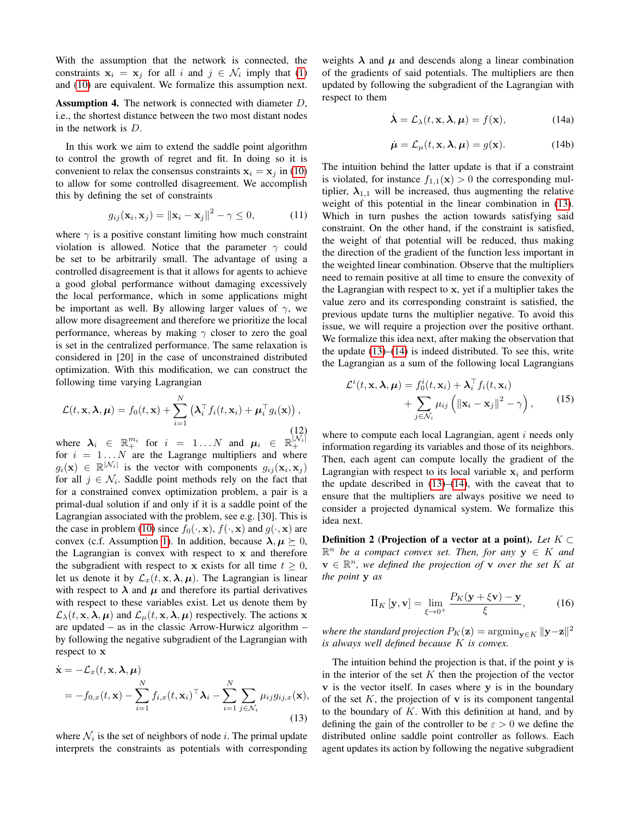With the assumption that the network is connected, the constraints  $x_i = x_j$  for all i and  $j \in \mathcal{N}_i$  imply that [\(1\)](#page-1-0) and [\(10\)](#page-2-4) are equivalent. We formalize this assumption next.

<span id="page-3-2"></span>**Assumption 4.** The network is connected with diameter  $D$ , i.e., the shortest distance between the two most distant nodes in the network is D.

In this work we aim to extend the saddle point algorithm to control the growth of regret and fit. In doing so it is convenient to relax the consensus constraints  $x_i = x_j$  in [\(10\)](#page-2-4) to allow for some controlled disagreement. We accomplish this by defining the set of constraints

$$
g_{ij}(\mathbf{x}_i, \mathbf{x}_j) = ||\mathbf{x}_i - \mathbf{x}_j||^2 - \gamma \le 0,
$$
 (11)

where  $\gamma$  is a positive constant limiting how much constraint violation is allowed. Notice that the parameter  $\gamma$  could be set to be arbitrarily small. The advantage of using a controlled disagreement is that it allows for agents to achieve a good global performance without damaging excessively the local performance, which in some applications might be important as well. By allowing larger values of  $\gamma$ , we allow more disagreement and therefore we prioritize the local performance, whereas by making  $\gamma$  closer to zero the goal is set in the centralized performance. The same relaxation is considered in [20] in the case of unconstrained distributed optimization. With this modification, we can construct the following time varying Lagrangian

$$
\mathcal{L}(t, \mathbf{x}, \boldsymbol{\lambda}, \boldsymbol{\mu}) = f_0(t, \mathbf{x}) + \sum_{i=1}^N \left( \boldsymbol{\lambda}_i^\top f_i(t, \mathbf{x}_i) + \boldsymbol{\mu}_i^\top g_i(\mathbf{x}) \right),
$$
\n(12)

where  $\lambda_i \in \mathbb{R}_+^{m_i}$  for  $i = 1...N$  and  $\mu_i \in \mathbb{R}_+^{|N_i|}$  for  $i = 1...N$  are the Lagrange multipliers and where  $g_i(\mathbf{x}) \in \mathbb{R}^{|\mathcal{N}_i|}$  is the vector with components  $g_{ij}(\mathbf{x}_i, \mathbf{x}_j)$ for all  $j \in \mathcal{N}_i$ . Saddle point methods rely on the fact that for a constrained convex optimization problem, a pair is a primal-dual solution if and only if it is a saddle point of the Lagrangian associated with the problem, see e.g. [30]. This is the case in problem [\(10\)](#page-2-4) since  $f_0(\cdot, \mathbf{x})$ ,  $f(\cdot, \mathbf{x})$  and  $g(\cdot, \mathbf{x})$  are convex (c.f. Assumption [1\)](#page-1-1). In addition, because  $\lambda, \mu \succeq 0$ , the Lagrangian is convex with respect to  $x$  and therefore the subgradient with respect to x exists for all time  $t \geq 0$ , let us denote it by  $\mathcal{L}_x(t, \mathbf{x}, \boldsymbol{\lambda}, \boldsymbol{\mu})$ . The Lagrangian is linear with respect to  $\lambda$  and  $\mu$  and therefore its partial derivatives with respect to these variables exist. Let us denote them by  $\mathcal{L}_{\lambda}(t, \mathbf{x}, \lambda, \mu)$  and  $\mathcal{L}_{\mu}(t, \mathbf{x}, \lambda, \mu)$  respectively. The actions x are updated – as in the classic Arrow-Hurwicz algorithm – by following the negative subgradient of the Lagrangian with respect to x

<span id="page-3-0"></span>
$$
\dot{\mathbf{x}} = -\mathcal{L}_x(t, \mathbf{x}, \boldsymbol{\lambda}, \boldsymbol{\mu})
$$
  
= 
$$
-f_{0,x}(t, \mathbf{x}) - \sum_{i=1}^N f_{i,x}(t, \mathbf{x}_i)^\top \boldsymbol{\lambda}_i - \sum_{i=1}^N \sum_{j \in \mathcal{N}_i} \mu_{ij} g_{ij,x}(\mathbf{x}),
$$
(13)

where  $\mathcal{N}_i$  is the set of neighbors of node i. The primal update interprets the constraints as potentials with corresponding weights  $\lambda$  and  $\mu$  and descends along a linear combination of the gradients of said potentials. The multipliers are then updated by following the subgradient of the Lagrangian with respect to them

<span id="page-3-1"></span>
$$
\dot{\lambda} = \mathcal{L}_{\lambda}(t, \mathbf{x}, \lambda, \mu) = f(\mathbf{x}), \qquad (14a)
$$

$$
\dot{\mu} = \mathcal{L}_{\mu}(t, \mathbf{x}, \lambda, \mu) = g(\mathbf{x}). \tag{14b}
$$

The intuition behind the latter update is that if a constraint is violated, for instance  $f_{1,1}(\mathbf{x}) > 0$  the corresponding multiplier,  $\lambda_{1,1}$  will be increased, thus augmenting the relative weight of this potential in the linear combination in [\(13\)](#page-3-0). Which in turn pushes the action towards satisfying said constraint. On the other hand, if the constraint is satisfied, the weight of that potential will be reduced, thus making the direction of the gradient of the function less important in the weighted linear combination. Observe that the multipliers need to remain positive at all time to ensure the convexity of the Lagrangian with respect to x, yet if a multiplier takes the value zero and its corresponding constraint is satisfied, the previous update turns the multiplier negative. To avoid this issue, we will require a projection over the positive orthant. We formalize this idea next, after making the observation that the update [\(13\)](#page-3-0)–[\(14\)](#page-3-1) is indeed distributed. To see this, write the Lagrangian as a sum of the following local Lagrangians

$$
\mathcal{L}^{i}(t, \mathbf{x}, \boldsymbol{\lambda}, \boldsymbol{\mu}) = f_{0}^{i}(t, \mathbf{x}_{i}) + \boldsymbol{\lambda}_{i}^{\top} f_{i}(t, \mathbf{x}_{i}) + \sum_{j \in \mathcal{N}_{i}} \mu_{ij} \left( \|\mathbf{x}_{i} - \mathbf{x}_{j}\|^{2} - \gamma \right), \qquad (15)
$$

where to compute each local Lagrangian, agent  $i$  needs only information regarding its variables and those of its neighbors. Then, each agent can compute locally the gradient of the Lagrangian with respect to its local variable  $x_i$  and perform the update described in  $(13)$ – $(14)$ , with the caveat that to ensure that the multipliers are always positive we need to consider a projected dynamical system. We formalize this idea next.

Definition 2 (Projection of a vector at a point). *Let* K ⊂  $\mathbb{R}^n$  *be a compact convex set. Then, for any*  $y \in K$  *and*  $\mathbf{v} \in \mathbb{R}^n$ , we defined the projection of **v** over the set K at *the point* y *as*

$$
\Pi_K[\mathbf{y}, \mathbf{v}] = \lim_{\xi \to 0^+} \frac{P_K(\mathbf{y} + \xi \mathbf{v}) - \mathbf{y}}{\xi},
$$
 (16)

*where the standard projection*  $P_K(\mathbf{z}) = \mathrm{argmin}_{\mathbf{y} \in K} \|\mathbf{y} - \mathbf{z}\|^2$ *is always well defined because* K *is convex.*

The intuition behind the projection is that, if the point y is in the interior of the set  $K$  then the projection of the vector v is the vector itself. In cases where y is in the boundary of the set  $K$ , the projection of  $\bf{v}$  is its component tangental to the boundary of  $K$ . With this definition at hand, and by defining the gain of the controller to be  $\varepsilon > 0$  we define the distributed online saddle point controller as follows. Each agent updates its action by following the negative subgradient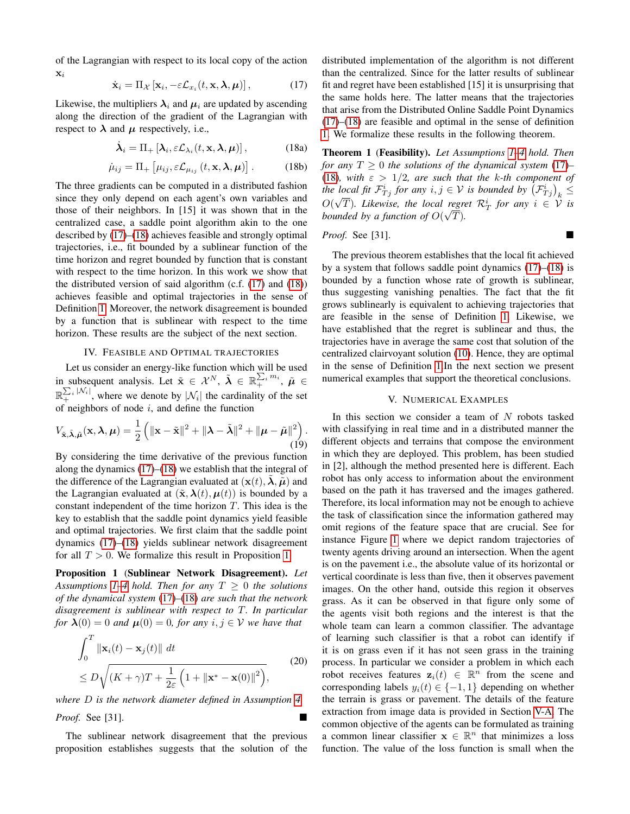of the Lagrangian with respect to its local copy of the action  $\mathbf{x}_i$ 

<span id="page-4-1"></span>
$$
\dot{\mathbf{x}}_i = \Pi_{\mathcal{X}} \left[ \mathbf{x}_i, -\varepsilon \mathcal{L}_{x_i}(t, \mathbf{x}, \boldsymbol{\lambda}, \boldsymbol{\mu}) \right],\tag{17}
$$

Likewise, the multipliers  $\lambda_i$  and  $\mu_i$  are updated by ascending along the direction of the gradient of the Lagrangian with respect to  $\lambda$  and  $\mu$  respectively, i.e.,

<span id="page-4-2"></span>
$$
\dot{\boldsymbol{\lambda}}_i = \Pi_+ \left[ \boldsymbol{\lambda}_i, \varepsilon \mathcal{L}_{\lambda_i}(t, \mathbf{x}, \boldsymbol{\lambda}, \boldsymbol{\mu}) \right], \tag{18a}
$$

$$
\dot{\mu}_{ij} = \Pi_+ \left[ \mu_{ij}, \varepsilon \mathcal{L}_{\mu_{ij}} \left( t, \mathbf{x}, \boldsymbol{\lambda}, \boldsymbol{\mu} \right) \right]. \tag{18b}
$$

The three gradients can be computed in a distributed fashion since they only depend on each agent's own variables and those of their neighbors. In [15] it was shown that in the centralized case, a saddle point algorithm akin to the one described by [\(17\)](#page-4-1)–[\(18\)](#page-4-2) achieves feasible and strongly optimal trajectories, i.e., fit bounded by a sublinear function of the time horizon and regret bounded by function that is constant with respect to the time horizon. In this work we show that the distributed version of said algorithm (c.f. [\(17\)](#page-4-1) and [\(18\)](#page-4-2)) achieves feasible and optimal trajectories in the sense of Definition [1.](#page-2-3) Moreover, the network disagreement is bounded by a function that is sublinear with respect to the time horizon. These results are the subject of the next section.

#### IV. FEASIBLE AND OPTIMAL TRAJECTORIES

<span id="page-4-0"></span>Let us consider an energy-like function which will be used in subsequent analysis. Let  $\tilde{\mathbf{x}} \in \mathcal{X}^N$ ,  $\tilde{\boldsymbol{\lambda}} \in \mathbb{R}_+^{\sum_i m_i}$ ,  $\tilde{\boldsymbol{\mu}} \in$  $\mathbb{R}_+^{\sum_i |\mathcal{N}_i|}$ , where we denote by  $|\mathcal{N}_i|$  the cardinality of the set of neighbors of node  $i$ , and define the function

$$
V_{\tilde{\mathbf{x}}, \tilde{\boldsymbol{\lambda}}, \tilde{\boldsymbol{\mu}}}(\mathbf{x}, \boldsymbol{\lambda}, \boldsymbol{\mu}) = \frac{1}{2} \left( \|\mathbf{x} - \tilde{\mathbf{x}}\|^2 + \|\boldsymbol{\lambda} - \tilde{\boldsymbol{\lambda}}\|^2 + \|\boldsymbol{\mu} - \tilde{\boldsymbol{\mu}}\|^2 \right). \tag{19}
$$

By considering the time derivative of the previous function along the dynamics  $(17)$ – $(18)$  we establish that the integral of the difference of the Lagrangian evaluated at  $(\mathbf{x}(t), \lambda, \tilde{\boldsymbol{\mu}})$  and the Lagrangian evaluated at  $(\tilde{\mathbf{x}}, \boldsymbol{\lambda}(t), \boldsymbol{\mu}(t))$  is bounded by a constant independent of the time horizon T. This idea is the key to establish that the saddle point dynamics yield feasible and optimal trajectories. We first claim that the saddle point dynamics [\(17\)](#page-4-1)–[\(18\)](#page-4-2) yields sublinear network disagreement for all  $T > 0$ . We formalize this result in Proposition [1.](#page-4-3)

<span id="page-4-3"></span>Proposition 1 (Sublinear Network Disagreement). *Let Assumptions* [1–](#page-1-1)[4](#page-3-2) *hold. Then for any*  $T \geq 0$  *the solutions of the dynamical system* [\(17\)](#page-4-1)*–*[\(18\)](#page-4-2) *are such that the network disagreement is sublinear with respect to* T*. In particular for*  $\lambda(0) = 0$  *and*  $\mu(0) = 0$ *, for any*  $i, j \in V$  *we have that* 

$$
\int_0^T \|\mathbf{x}_i(t) - \mathbf{x}_j(t)\| dt
$$
  
\n
$$
\leq D \sqrt{(K + \gamma)T + \frac{1}{2\varepsilon} \left(1 + \|\mathbf{x}^* - \mathbf{x}(0)\|^2\right)},
$$
\n(20)

*where* D *is the network diameter defined in Assumption [4.](#page-3-2)*

*Proof.* See [31].

The sublinear network disagreement that the previous proposition establishes suggests that the solution of the distributed implementation of the algorithm is not different than the centralized. Since for the latter results of sublinear fit and regret have been established [15] it is unsurprising that the same holds here. The latter means that the trajectories that arise from the Distributed Online Saddle Point Dynamics [\(17\)](#page-4-1)–[\(18\)](#page-4-2) are feasible and optimal in the sense of definition [1.](#page-2-3) We formalize these results in the following theorem.

<span id="page-4-4"></span>Theorem 1 (Feasibility). *Let Assumptions [1–](#page-1-1)[4](#page-3-2) hold. Then for any*  $T \geq 0$  *the solutions of the dynamical system* [\(17\)](#page-4-1)– [\(18\)](#page-4-2)*, with*  $\varepsilon > 1/2$ *, are such that the k-th component of* the local fit  $\mathcal{F}^i_{Tj}$  for any  $i, j \in V$  is bounded by  $(\mathcal{F}^i_{Tj})_k \leq$  $O(\sqrt{T})$ . Likewise, the local regret  $\mathcal{R}_T^i$  for any  $i \in \mathcal{V}$  is *bounded by a function of*  $O(\sqrt{T})$ *.* 

# *Proof.* See [31].

The previous theorem establishes that the local fit achieved by a system that follows saddle point dynamics [\(17\)](#page-4-1)–[\(18\)](#page-4-2) is bounded by a function whose rate of growth is sublinear, thus suggesting vanishing penalties. The fact that the fit grows sublinearly is equivalent to achieving trajectories that are feasible in the sense of Definition [1.](#page-2-3) Likewise, we have established that the regret is sublinear and thus, the trajectories have in average the same cost that solution of the centralized clairvoyant solution [\(10\)](#page-2-4). Hence, they are optimal in the sense of Definition [1.](#page-2-3)In the next section we present numerical examples that support the theoretical conclusions.

# V. NUMERICAL EXAMPLES

In this section we consider a team of  $N$  robots tasked with classifying in real time and in a distributed manner the different objects and terrains that compose the environment in which they are deployed. This problem, has been studied in [2], although the method presented here is different. Each robot has only access to information about the environment based on the path it has traversed and the images gathered. Therefore, its local information may not be enough to achieve the task of classification since the information gathered may omit regions of the feature space that are crucial. See for instance Figure [1](#page-5-0) where we depict random trajectories of twenty agents driving around an intersection. When the agent is on the pavement i.e., the absolute value of its horizontal or vertical coordinate is less than five, then it observes pavement images. On the other hand, outside this region it observes grass. As it can be observed in that figure only some of the agents visit both regions and the interest is that the whole team can learn a common classifier. The advantage of learning such classifier is that a robot can identify if it is on grass even if it has not seen grass in the training process. In particular we consider a problem in which each robot receives features  $z_i(t) \in \mathbb{R}^n$  from the scene and corresponding labels  $y_i(t) \in \{-1, 1\}$  depending on whether the terrain is grass or pavement. The details of the feature extraction from image data is provided in Section [V-A.](#page-5-1) The common objective of the agents can be formulated as training a common linear classifier  $x \in \mathbb{R}^n$  that minimizes a loss function. The value of the loss function is small when the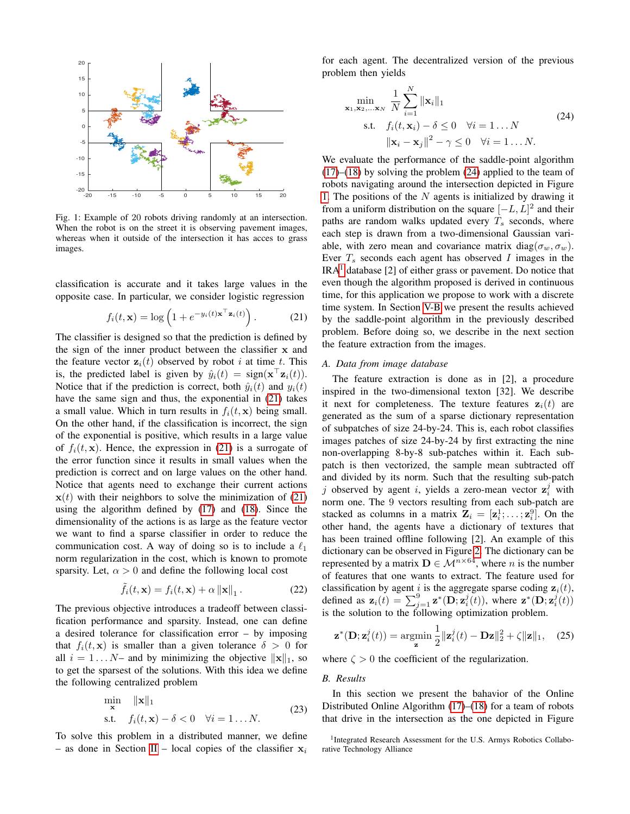<span id="page-5-0"></span>

Fig. 1: Example of 20 robots driving randomly at an intersection. When the robot is on the street it is observing pavement images, whereas when it outside of the intersection it has acces to grass images.

classification is accurate and it takes large values in the opposite case. In particular, we consider logistic regression

<span id="page-5-2"></span>
$$
f_i(t, \mathbf{x}) = \log\left(1 + e^{-y_i(t)\mathbf{x}^\top \mathbf{z}_i(t)}\right). \tag{21}
$$

The classifier is designed so that the prediction is defined by the sign of the inner product between the classifier x and the feature vector  $z_i(t)$  observed by robot i at time t. This is, the predicted label is given by  $\hat{y}_i(t) = \text{sign}(\mathbf{x}^\top \mathbf{z}_i(t)).$ Notice that if the prediction is correct, both  $\hat{y}_i(t)$  and  $y_i(t)$ have the same sign and thus, the exponential in  $(21)$  takes a small value. Which in turn results in  $f_i(t, x)$  being small. On the other hand, if the classification is incorrect, the sign of the exponential is positive, which results in a large value of  $f_i(t, x)$ . Hence, the expression in [\(21\)](#page-5-2) is a surrogate of the error function since it results in small values when the prediction is correct and on large values on the other hand. Notice that agents need to exchange their current actions  $x(t)$  with their neighbors to solve the minimization of [\(21\)](#page-5-2) using the algorithm defined by [\(17\)](#page-4-1) and [\(18\)](#page-4-2). Since the dimensionality of the actions is as large as the feature vector we want to find a sparse classifier in order to reduce the communication cost. A way of doing so is to include a  $\ell_1$ norm regularization in the cost, which is known to promote sparsity. Let,  $\alpha > 0$  and define the following local cost

$$
\tilde{f}_i(t, \mathbf{x}) = f_i(t, \mathbf{x}) + \alpha \left\| \mathbf{x} \right\|_1.
$$
 (22)

The previous objective introduces a tradeoff between classification performance and sparsity. Instead, one can define a desired tolerance for classification error – by imposing that  $f_i(t, x)$  is smaller than a given tolerance  $\delta > 0$  for all  $i = 1...N$ – and by minimizing the objective  $||\mathbf{x}||_1$ , so to get the sparsest of the solutions. With this idea we define the following centralized problem

$$
\min_{\mathbf{x}} \quad \|\mathbf{x}\|_1
$$
  
s.t.  $f_i(t, \mathbf{x}) - \delta < 0 \quad \forall i = 1...N.$  (23)

To solve this problem in a distributed manner, we define – as done in Section [II](#page-1-2) – local copies of the classifier  $x_i$ 

for each agent. The decentralized version of the previous problem then yields

<span id="page-5-3"></span>
$$
\min_{\mathbf{x}_1, \mathbf{x}_2, \dots, \mathbf{x}_N} \frac{1}{N} \sum_{i=1}^N \|\mathbf{x}_i\|_1
$$
\n
$$
\text{s.t.} \quad f_i(t, \mathbf{x}_i) - \delta \le 0 \quad \forall i = 1 \dots N
$$
\n
$$
\|\mathbf{x}_i - \mathbf{x}_j\|^2 - \gamma \le 0 \quad \forall i = 1 \dots N. \tag{24}
$$

We evaluate the performance of the saddle-point algorithm  $(17)$ – $(18)$  by solving the problem  $(24)$  applied to the team of robots navigating around the intersection depicted in Figure [1.](#page-5-0) The positions of the  $N$  agents is initialized by drawing it from a uniform distribution on the square  $[-L, L]^2$  and their paths are random walks updated every  $T_s$  seconds, where each step is drawn from a two-dimensional Gaussian variable, with zero mean and covariance matrix diag( $\sigma_w, \sigma_w$ ). Ever  $T_s$  seconds each agent has observed I images in the  $IRA<sup>1</sup>$  $IRA<sup>1</sup>$  $IRA<sup>1</sup>$  database [2] of either grass or pavement. Do notice that even though the algorithm proposed is derived in continuous time, for this application we propose to work with a discrete time system. In Section [V-B](#page-5-5) we present the results achieved by the saddle-point algorithm in the previously described problem. Before doing so, we describe in the next section the feature extraction from the images.

# <span id="page-5-1"></span>*A. Data from image database*

The feature extraction is done as in [2], a procedure inspired in the two-dimensional texton [32]. We describe it next for completeness. The texture features  $z<sub>i</sub>(t)$  are generated as the sum of a sparse dictionary representation of subpatches of size 24-by-24. This is, each robot classifies images patches of size 24-by-24 by first extracting the nine non-overlapping 8-by-8 sub-patches within it. Each subpatch is then vectorized, the sample mean subtracted off and divided by its norm. Such that the resulting sub-patch j observed by agent i, yields a zero-mean vector  $\mathbf{z}_i^j$  with norm one. The 9 vectors resulting from each sub-patch are stacked as columns in a matrix  $\mathbf{Z}_i = [\mathbf{z}_i^1; \dots; \mathbf{z}_i^9]$ . On the other hand, the agents have a dictionary of textures that has been trained offline following [2]. An example of this dictionary can be observed in Figure [2.](#page-6-0) The dictionary can be represented by a matrix  $\mathbf{D} \in \mathcal{M}^{n \times 64}$ , where *n* is the number of features that one wants to extract. The feature used for classification by agent i is the aggregate sparse coding  $z_i(t)$ , defined as  $\mathbf{z}_i(t) = \sum_{j=1}^9 \mathbf{z}^*(\mathbf{D}; \mathbf{z}_i^j(t))$ , where  $\mathbf{z}^*(\mathbf{D}; \mathbf{z}_i^j(t))$ is the solution to the following optimization problem.

$$
\mathbf{z}^*(\mathbf{D}; \mathbf{z}_i^j(t)) = \operatorname*{argmin}_{\mathbf{z}} \frac{1}{2} \|\mathbf{z}_i^j(t) - \mathbf{D}\mathbf{z}\|_2^2 + \zeta \|\mathbf{z}\|_1, \quad (25)
$$

where  $\zeta > 0$  the coefficient of the regularization.

# <span id="page-5-5"></span>*B. Results*

In this section we present the bahavior of the Online Distributed Online Algorithm [\(17\)](#page-4-1)–[\(18\)](#page-4-2) for a team of robots that drive in the intersection as the one depicted in Figure

<span id="page-5-4"></span><sup>&</sup>lt;sup>1</sup>Integrated Research Assessment for the U.S. Armys Robotics Collaborative Technology Alliance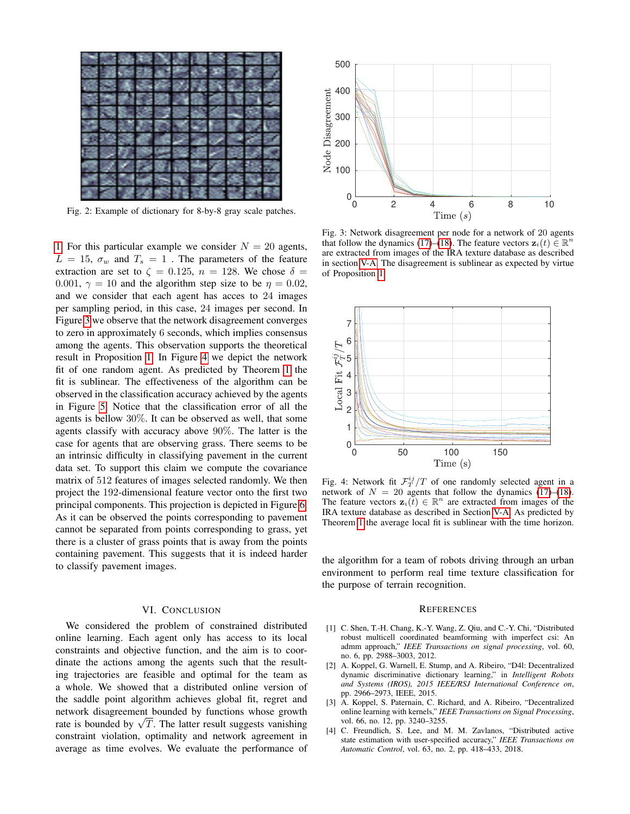<span id="page-6-0"></span>

Fig. 2: Example of dictionary for 8-by-8 gray scale patches.

[1.](#page-5-0) For this particular example we consider  $N = 20$  agents,  $L = 15$ ,  $\sigma_w$  and  $T_s = 1$ . The parameters of the feature extraction are set to  $\zeta = 0.125$ ,  $n = 128$ . We chose  $\delta =$ 0.001,  $\gamma = 10$  and the algorithm step size to be  $\eta = 0.02$ , and we consider that each agent has acces to 24 images per sampling period, in this case, 24 images per second. In Figure [3](#page-6-1) we observe that the network disagreement converges to zero in approximately 6 seconds, which implies consensus among the agents. This observation supports the theoretical result in Proposition [1.](#page-4-3) In Figure [4](#page-6-2) we depict the network fit of one random agent. As predicted by Theorem [1](#page-4-4) the fit is sublinear. The effectiveness of the algorithm can be observed in the classification accuracy achieved by the agents in Figure [5.](#page-7-0) Notice that the classification error of all the agents is bellow 30%. It can be observed as well, that some agents classify with accuracy above 90%. The latter is the case for agents that are observing grass. There seems to be an intrinsic difficulty in classifying pavement in the current data set. To support this claim we compute the covariance matrix of 512 features of images selected randomly. We then project the 192-dimensional feature vector onto the first two principal components. This projection is depicted in Figure [6.](#page-7-1) As it can be observed the points corresponding to pavement cannot be separated from points corresponding to grass, yet there is a cluster of grass points that is away from the points containing pavement. This suggests that it is indeed harder to classify pavement images. Fig. 2. Extende of distinctive technicals To  $\approx 4$  6 8 10<br>
1. Fig. 15 November 20 and performance of 0 2 agents,<br>
1. Fig. 15 November 20 agents, the following technical control of 0 agents.<br>
The 15  $\alpha_0$  and 7, = 1 . Th

## VI. CONCLUSION

We considered the problem of constrained distributed online learning. Each agent only has access to its local constraints and objective function, and the aim is to coordinate the actions among the agents such that the resulting trajectories are feasible and optimal for the team as a whole. We showed that a distributed online version of the saddle point algorithm achieves global fit, regret and network disagreement bounded by functions whose growth network aisagreement bounded by functions whose growth rate is bounded by  $\sqrt{T}$ . The latter result suggests vanishing constraint violation, optimality and network agreement in

<span id="page-6-1"></span>

Fig. 3: Network disagreement per node for a network of 20 agents that follow the dynamics [\(17\)](#page-4-1)–[\(18\)](#page-4-2). The feature vectors  $\mathbf{z}_i(t) \in \mathbb{R}^n$ are extracted from images of the IRA texture database as described in section [V-A.](#page-5-1) The disagreement is sublinear as expected by virtue of Proposition [1.](#page-4-3)

<span id="page-6-2"></span>

Fig. 4: Network fit  $\mathcal{F}^{ij}_T/T$  of one randomly selected agent in a network of  $N = 20$  agents that follow the dynamics [\(17\)](#page-4-1)–[\(18\)](#page-4-2). The feature vectors  $\mathbf{z}_i(t) \in \mathbb{R}^n$  are extracted from images of the IRA texture database as described in Section [V-A.](#page-5-1) As predicted by Theorem [1](#page-4-4) the average local fit is sublinear with the time horizon.

the algorithm for a team of robots driving through an urban environment to perform real time texture classification for the purpose of terrain recognition.

#### **REFERENCES**

- [1] C. Shen, T.-H. Chang, K.-Y. Wang, Z. Qiu, and C.-Y. Chi, "Distributed robust multicell coordinated beamforming with imperfect csi: An admm approach," *IEEE Transactions on signal processing*, vol. 60, no. 6, pp. 2988–3003, 2012.
- [2] A. Koppel, G. Warnell, E. Stump, and A. Ribeiro, "D4l: Decentralized dynamic discriminative dictionary learning," in *Intelligent Robots and Systems (IROS), 2015 IEEE/RSJ International Conference on*, pp. 2966–2973, IEEE, 2015.
- [3] A. Koppel, S. Paternain, C. Richard, and A. Ribeiro, "Decentralized online learning with kernels," *IEEE Transactions on Signal Processing*, vol. 66, no. 12, pp. 3240–3255.
- [4] C. Freundlich, S. Lee, and M. M. Zavlanos, "Distributed active state estimation with user-specified accuracy," *IEEE Transactions on Automatic Control*, vol. 63, no. 2, pp. 418–433, 2018.